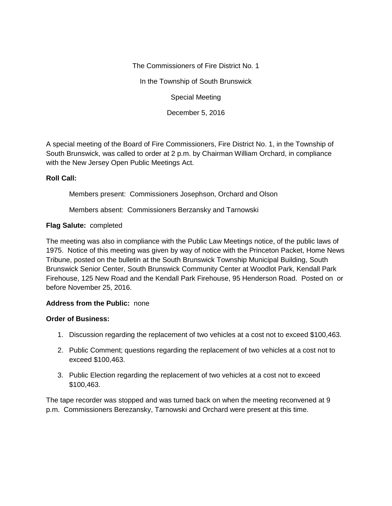The Commissioners of Fire District No. 1

In the Township of South Brunswick

Special Meeting

December 5, 2016

A special meeting of the Board of Fire Commissioners, Fire District No. 1, in the Township of South Brunswick, was called to order at 2 p.m. by Chairman William Orchard, in compliance with the New Jersey Open Public Meetings Act.

## **Roll Call:**

Members present: Commissioners Josephson, Orchard and Olson

Members absent: Commissioners Berzansky and Tarnowski

## **Flag Salute:** completed

The meeting was also in compliance with the Public Law Meetings notice, of the public laws of 1975. Notice of this meeting was given by way of notice with the Princeton Packet, Home News Tribune, posted on the bulletin at the South Brunswick Township Municipal Building, South Brunswick Senior Center, South Brunswick Community Center at Woodlot Park, Kendall Park Firehouse, 125 New Road and the Kendall Park Firehouse, 95 Henderson Road. Posted on or before November 25, 2016.

## **Address from the Public:** none

## **Order of Business:**

- 1. Discussion regarding the replacement of two vehicles at a cost not to exceed \$100,463.
- 2. Public Comment; questions regarding the replacement of two vehicles at a cost not to exceed \$100,463.
- 3. Public Election regarding the replacement of two vehicles at a cost not to exceed \$100,463.

The tape recorder was stopped and was turned back on when the meeting reconvened at 9 p.m. Commissioners Berezansky, Tarnowski and Orchard were present at this time.